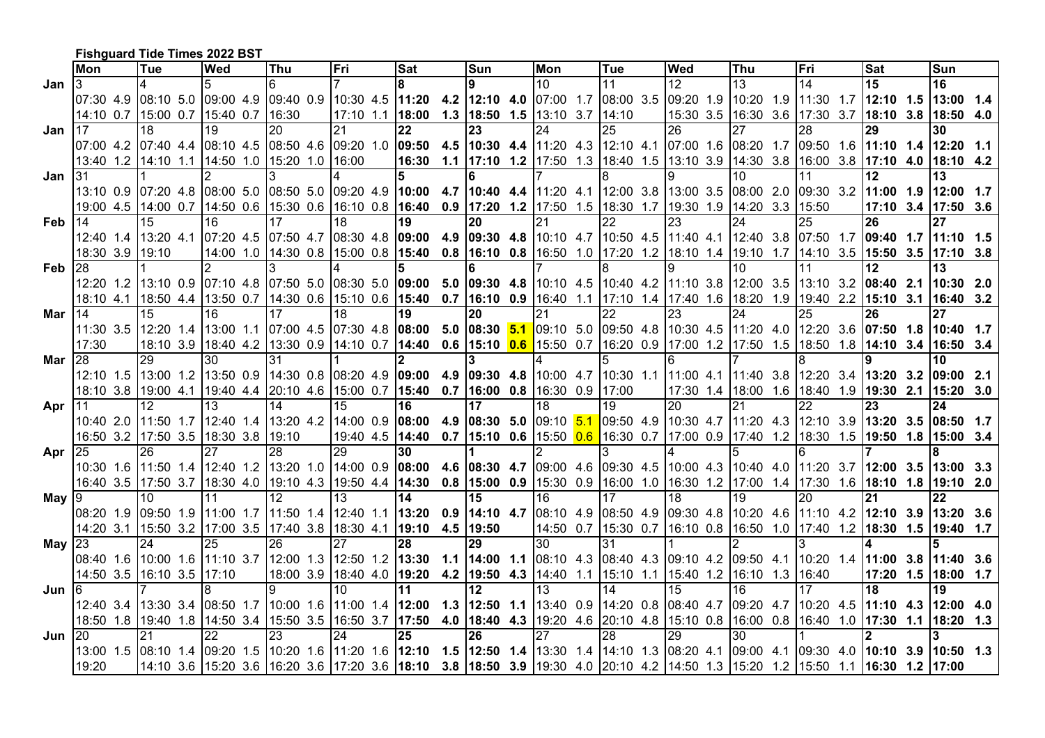| <b>Fishguard Tide Times 2022 BST</b> |
|--------------------------------------|
|--------------------------------------|

|                | Mon              | Tue                                                                                                                                                                                                                         | <b>Wed</b> | <b>Thu</b> | Fri | <b>Sat</b>                                                                                                                                                                                                                                            | Sun | Mon             | Tue | <b>Wed</b> | Thu | Fri | Sat       | Sun                                                                         |     |
|----------------|------------------|-----------------------------------------------------------------------------------------------------------------------------------------------------------------------------------------------------------------------------|------------|------------|-----|-------------------------------------------------------------------------------------------------------------------------------------------------------------------------------------------------------------------------------------------------------|-----|-----------------|-----|------------|-----|-----|-----------|-----------------------------------------------------------------------------|-----|
| Jan            |                  |                                                                                                                                                                                                                             |            |            |     |                                                                                                                                                                                                                                                       |     | 10 <sup>1</sup> | 11  | 12         | 13  | 14  | 15        | 16                                                                          |     |
|                |                  | 07:30 4.9 08:10 5.0 09:00 4.9 09:40 0.9 10:30 4.5 11:20 4.2 12:10 4.0 07:00 1.7 08:00 3.5 09:20 1.9 10:20 1.9 11:30 1.7 12:10 1.5                                                                                           |            |            |     |                                                                                                                                                                                                                                                       |     |                 |     |            |     |     |           | 113:00                                                                      | 1.4 |
|                |                  | 14:10 0.7 15:00 0.7 15:40 0.7 16:30                                                                                                                                                                                         |            |            |     | 17:10 1.1  18:00 1.3  18:50 1.5  13:10 3.7  14:10                                                                                                                                                                                                     |     |                 |     |            |     |     |           | 15:30 3.5 16:30 3.6 17:30 3.7 18:10 3.8 18:50 4.0                           |     |
| Jan            |                  |                                                                                                                                                                                                                             |            |            |     |                                                                                                                                                                                                                                                       |     |                 |     | 26         |     |     |           |                                                                             |     |
|                |                  | 07:00 4.2 07:40 4.4 08:10 4.5 08:50 4.6 09:20 1.0 09:50 4.5 10:30 4.4 11:20 4.3 12:10 4.1 07:00 1.6 08:20 1.7 09:50 1.6 11:10 1.4 12:20 1.1                                                                                 |            |            |     |                                                                                                                                                                                                                                                       |     |                 |     |            |     |     |           |                                                                             |     |
|                |                  | 13:40 1.2  14:10 1.1  14:50 1.0  15:20 1.0  16:00                                                                                                                                                                           |            |            |     | 16:30 1.1  17:10 1.2  17:50 1.3  18:40 1.5  13:10 3.9  14:30 3.8  16:00 3.8  17:10 4.0  18:10 4.2                                                                                                                                                     |     |                 |     |            |     |     |           |                                                                             |     |
| Jan            | 131              |                                                                                                                                                                                                                             |            |            |     |                                                                                                                                                                                                                                                       |     |                 |     |            |     |     | 12        |                                                                             |     |
|                |                  | 13:10 0.9 07:20 4.8 08:00 5.0 08:50 5.0 09:20 4.9 <b>10:00 4.7 10:40 4.4 1</b> 1:20 4.1 <b>12:00 3.8 13:00 3.5 08:00 2.0 09:30 3.2 <b>11:00 1.9 12:00 1.7</b></b>                                                           |            |            |     |                                                                                                                                                                                                                                                       |     |                 |     |            |     |     |           |                                                                             |     |
|                |                  | 19:00 4.5 14:00 0.7 14:50 0.6 15:30 0.6 16:10 0.8 16:40 0.9 17:20 1.2 17:50 1.5 18:30 1.7 19:30 1.9 14:20 3.3 15:50                                                                                                         |            |            |     |                                                                                                                                                                                                                                                       |     |                 |     |            |     |     |           | 17:10 3.4 17:50 3.6                                                         |     |
| Feb            | 14               |                                                                                                                                                                                                                             |            |            |     |                                                                                                                                                                                                                                                       |     |                 |     |            |     |     | 26        |                                                                             |     |
|                |                  | 12:40 1.4 13:20 4.1 07:20 4.5 07:50 4.7 08:30 4.8 <b>09:00 4.9 09:30 4.8 1</b> 0:10 4.7 10:50 4.5 11:40 4.1 12:40 3.8 07:50 1.7 <b>09:40 1.7 11:10 1.5</b>                                                                  |            |            |     |                                                                                                                                                                                                                                                       |     |                 |     |            |     |     |           |                                                                             |     |
|                | 18:30 3.9 119:10 |                                                                                                                                                                                                                             |            |            |     | 14:00 1.0 14:30 0.8 15:00 0.8 15:40 0.8 16:10 0.8 16:50 1.0 17:20 1.2 18:10 1.4 19:10 1.7 14:10 3.5 15:50 3.5 17:10 3.8                                                                                                                               |     |                 |     |            |     |     |           |                                                                             |     |
| Feb            | 128              |                                                                                                                                                                                                                             |            |            |     |                                                                                                                                                                                                                                                       |     |                 |     |            |     |     | 12        | 13                                                                          |     |
|                | 12:20 1.2        | 13:10 0.9 07:10 4.8 07:50 5.0 08:30 5.0 09:00 5.0 09:30 4.8 10:10 4.5 10:40 4.2 11:10 3.8 12:00 3.5 13:10 3.2 08:40 2.1 10:30 2.0                                                                                           |            |            |     |                                                                                                                                                                                                                                                       |     |                 |     |            |     |     |           |                                                                             |     |
|                |                  | 18:10 4.1  18:50 4.4  13:50 0.7  14:30 0.6  15:10 0.6   <b>15:40 0.7  16:10 0.9</b>  16:40 1.1  17:10 1.4  17:40 1.6  18:20 1.9  19:40 2.2   <b>15:10 3.1  16:40 3.2</b>                                                    |            |            |     |                                                                                                                                                                                                                                                       |     |                 |     |            |     |     |           |                                                                             |     |
| Mar $14$       |                  |                                                                                                                                                                                                                             |            |            | 18  |                                                                                                                                                                                                                                                       |     |                 |     |            |     |     |           |                                                                             |     |
|                |                  | 11:30 3.5 12:20 1.4 13:00 1.1 07:00 4.5 07:30 4.8 <b>08:00  5.0 08:30 <mark>5.1</mark> 0</b> 9:10  5.0 09:50  4.8 10:30 4.5 11:20  4.0 12:20  3.6 <b>07:50  1.8 10:40  1.7</b>                                              |            |            |     |                                                                                                                                                                                                                                                       |     |                 |     |            |     |     |           |                                                                             |     |
|                | 17:30            | 18:10 3.9 18:40 4.2 13:30 0.9 14:10 0.7 <b>14:40 0.6 15:10 <mark>0.6</mark> 1</b> 5:50 0.7 16:20 0.9 17:00 1.2 17:50 1.5 18:50 1.8 <b>14:10 3.4 16:50 3.4</b>                                                               |            |            |     |                                                                                                                                                                                                                                                       |     |                 |     |            |     |     |           |                                                                             |     |
| <b>Mar 128</b> |                  |                                                                                                                                                                                                                             |            |            |     |                                                                                                                                                                                                                                                       |     |                 |     |            |     |     |           |                                                                             |     |
|                |                  | 12:10 1.5 13:00 1.2 13:50 0.9 14:30 0.8 08:20 4.9 <b>09:00 4.9 09:30 4.8</b> 10:00 4.7 10:30 1.1 11:00 4.1 11:40 3.8 12:20 3.4 <b>13:20 3.2 09:00 2.1</b>                                                                   |            |            |     |                                                                                                                                                                                                                                                       |     |                 |     |            |     |     |           |                                                                             |     |
|                |                  | 18:10 3.8 19:00 4.1 19:40 4.4 20:10 4.6 15:00 0.7 15:40 0.7 16:00 0.8 16:30 0.9 17:00                                                                                                                                       |            |            |     |                                                                                                                                                                                                                                                       |     |                 |     |            |     |     |           | 17:30 1.4 18:00 1.6 18:40 1.9 19:30 2.1 15:20 3.0                           |     |
| <b>Apr</b>  11 |                  |                                                                                                                                                                                                                             |            |            |     |                                                                                                                                                                                                                                                       |     |                 |     |            |     |     |           |                                                                             |     |
|                |                  | 10:40 2.0 11:50 1.7 12:40 1.4 13:20 4.2 14:00 0.9 <b>08:00 -4.9 08:30 5.0 0</b> 9:10 <mark>5.1 0</mark> 9:50 4.9 10:30 4.7 11:20 4.3 12:10 3.9 <b>13:20 3.5 08:50 1.7</b> 1.7 1.20 4.3 12:10 3.9 <b>13:20 3.5 08:50 1.7</b> |            |            |     |                                                                                                                                                                                                                                                       |     |                 |     |            |     |     |           |                                                                             |     |
|                |                  | 16:50 3.2 17:50 3.5 18:30 3.8 19:10                                                                                                                                                                                         |            |            |     | 19:40 4.5 <b>14:40 0.7 15:10 0.6 1</b> 5:50 <mark>0.6 16:30 0.7 17:00 0.9 17:40 1.2 18:30 1.5 <b>19:50 1.8 15:00 3.4</b> 15:00 1.4 15:00 1.4 15:00 1.4 15:00 1.4 15:00 1.4 15:00 1.4 15:00 1.4 15:00 1.4 15:00 1.4 15:00 1.4 15:00 1.4 15:00 1</mark> |     |                 |     |            |     |     |           |                                                                             |     |
| Apr            |                  |                                                                                                                                                                                                                             |            |            |     |                                                                                                                                                                                                                                                       |     |                 |     |            |     |     |           |                                                                             |     |
|                |                  | 10:30 1.6 111:50 1.4 12:40 1.2 13:20 1.0 14:00 0.9 <b>08:00 4.6 08:30 4.7 0</b> 9:00 4.6 <b>09:30 4.5 10:00 4.3 10:40 4.0 11:20 3.7 12:00 3.5 13:00 3.3</b>                                                                 |            |            |     |                                                                                                                                                                                                                                                       |     |                 |     |            |     |     |           |                                                                             |     |
|                |                  | 16:40 3.5  17:50 3.7  18:30 4.0  19:10 4.3  19:50 4.4   <b>14:30 0.8  15:00 0.9</b>  15:30 0.9  16:00 1.0  16:30 1.2  17:00 1.4  17:30 1.6   <b>18:10 1.8  19:10 2.0</b>                                                    |            |            |     |                                                                                                                                                                                                                                                       |     |                 |     |            |     |     |           |                                                                             |     |
| Mav I9         |                  |                                                                                                                                                                                                                             |            |            |     |                                                                                                                                                                                                                                                       | 15  |                 |     | 18         |     |     |           |                                                                             |     |
|                |                  | 08:20 1.9 09:50 1.9 11:00 1.7 11:50 1.4 12:40 1.1 <b>13:20 0.9 14:10 4.7</b> 08:10 4.9 08:50 4.9 09:30 4.8 10:20 4.6 11:10 4.2 <b>12:10 3.9 13:20 3.6</b>                                                                   |            |            |     |                                                                                                                                                                                                                                                       |     |                 |     |            |     |     |           |                                                                             |     |
|                |                  | 14:20 3.1  15:50 3.2  17:00 3.5  17:40 3.8  18:30 4.1  19:10 4.5  19:50                                                                                                                                                     |            |            |     |                                                                                                                                                                                                                                                       |     |                 |     |            |     |     |           | 14:50 0.7  15:30 0.7  16:10 0.8  16:50 1.0  17:40 1.2  18:30 1.5  19:40 1.7 |     |
| May $ 23$      |                  | 24                                                                                                                                                                                                                          |            |            |     |                                                                                                                                                                                                                                                       | 29  |                 |     |            |     |     |           |                                                                             |     |
|                |                  | 08:40 1.6 10:00 1.6 11:10 3.7 12:00 1.3 12:50 1.2 <b>13:30 1.1 14:00 1.1</b> 08:10 4.3 08:40 4.3 09:10 4.2 09:50 4.1 10:20 1.4 <b>11:00 3.8 11:40 3.6</b>                                                                   |            |            |     |                                                                                                                                                                                                                                                       |     |                 |     |            |     |     |           |                                                                             |     |
|                |                  | 14:50 3.5 16:10 3.5 17:10                                                                                                                                                                                                   |            |            |     | 18:00 3.9 18:40 4.0 <b>19:20 4.2 19:50 4.3</b> 14:40 1.1 15:10 1.1 15:40 1.2 16:10 1.3 16:40                                                                                                                                                          |     |                 |     |            |     |     | 17:20 1.5 | $118:00$ 1.7                                                                |     |
| Jun 16         |                  |                                                                                                                                                                                                                             |            |            | 10  | 11                                                                                                                                                                                                                                                    | 12  |                 |     | 15         | 16  |     | 18        | 19                                                                          |     |
|                |                  | 12:40 3.4 13:30 3.4 08:50 1.7 10:00 1.6 11:00 1.4 <b>12:00 1.3 12:50 1.1 1</b> 3:40 0.9 14:20 0.8 <b>08:40 4.7 09:20 4.7 10:20 4.5 11:10 4.3 12:00 4.0</b>                                                                  |            |            |     |                                                                                                                                                                                                                                                       |     |                 |     |            |     |     |           |                                                                             |     |
|                |                  | 18:50 1.8  19:40 1.8  14:50 3.4  15:50 3.5  16:50 3.7 <b> 17:50  4.0  18:40  4.3  </b> 19:20  4.6  20:10  4.8  15:10 0.8  16:00 0.8  16:40 1.0 <b> 17:30  1.1  18:20  1.3</b>                                               |            |            |     |                                                                                                                                                                                                                                                       |     |                 |     |            |     |     |           |                                                                             |     |
| Jun            | 120              |                                                                                                                                                                                                                             |            |            | 24  |                                                                                                                                                                                                                                                       |     |                 |     |            |     |     |           |                                                                             |     |
|                |                  | 13:00 1.5 08:10 1.4 09:20 1.5 10:20 1.6 11:20 1.6 <b>12:10 1.5 12:50 1.4 1</b> 3:30 1.4 <b>14:10 1.3 08:20 4.1 09:00 4.1 09:30 4.0 10:10 3.9 10:50 1.3</b>                                                                  |            |            |     |                                                                                                                                                                                                                                                       |     |                 |     |            |     |     |           |                                                                             |     |
|                | 19:20            | 14:10 3.6 15:20 3.6 16:20 3.6 17:20 3.6 18:10 3.8 18:50 3.9 19:30 4.0 20:10 4.2 14:50 1.3 15:20 1.2 15:50 1.1 16:30 1.2 17:00                                                                                               |            |            |     |                                                                                                                                                                                                                                                       |     |                 |     |            |     |     |           |                                                                             |     |